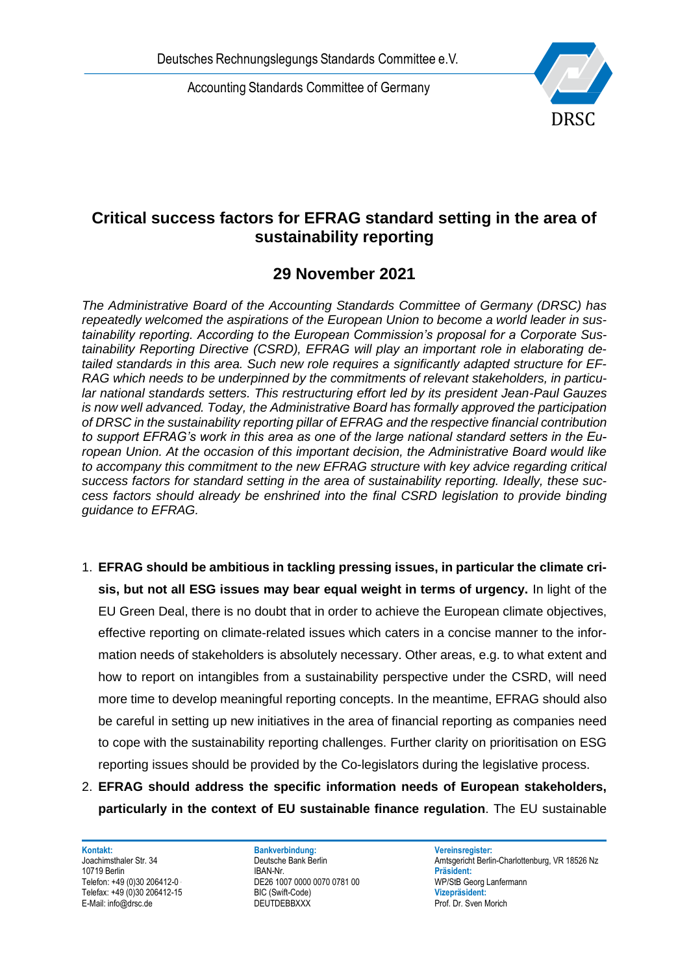Accounting Standards Committee of Germany



## **Critical success factors for EFRAG standard setting in the area of sustainability reporting**

## **29 November 2021**

Deutsches Rechnungslegungs Standards Committee e.V.<br>
Accounting Standards Committee of Germany<br>
sustainability reporting<br>
29 November 2021<br>
The Administrative Board of the Accounting Standards Committee of Germany<br>
repeate *The Administrative Board of the Accounting Standards Committee of Germany (DRSC) has repeatedly welcomed the aspirations of the European Union to become a world leader in sustainability reporting. According to the European Commission's proposal for a Corporate Sustainability Reporting Directive (CSRD), EFRAG will play an important role in elaborating detailed standards in this area. Such new role requires a significantly adapted structure for EF-RAG which needs to be underpinned by the commitments of relevant stakeholders, in particular national standards setters. This restructuring effort led by its president Jean-Paul Gauzes is now well advanced. Today, the Administrative Board has formally approved the participation of DRSC in the sustainability reporting pillar of EFRAG and the respective financial contribution to support EFRAG's work in this area as one of the large national standard setters in the European Union. At the occasion of this important decision, the Administrative Board would like to accompany this commitment to the new EFRAG structure with key advice regarding critical success factors for standard setting in the area of sustainability reporting. Ideally, these success factors should already be enshrined into the final CSRD legislation to provide binding guidance to EFRAG.*

- 1. **EFRAG should be ambitious in tackling pressing issues, in particular the climate crisis, but not all ESG issues may bear equal weight in terms of urgency.** In light of the EU Green Deal, there is no doubt that in order to achieve the European climate objectives, effective reporting on climate-related issues which caters in a concise manner to the information needs of stakeholders is absolutely necessary. Other areas, e.g. to what extent and how to report on intangibles from a sustainability perspective under the CSRD, will need more time to develop meaningful reporting concepts. In the meantime, EFRAG should also be careful in setting up new initiatives in the area of financial reporting as companies need to cope with the sustainability reporting challenges. Further clarity on prioritisation on ESG reporting issues should be provided by the Co-legislators during the legislative process.
- 2. **EFRAG should address the specific information needs of European stakeholders, particularly in the context of EU sustainable finance regulation**. The EU sustainable

**Kontakt: Bankverbindung: Vereinsregister:**

10719 Berlin IBAN-Nr. **Präsident:** Telefon: +49 (0)30 206412-0<br>
Telefax: +49 (0)30 206412-15<br>
BIC (Swift-Code) 
BIC (Swift-Code) 

DIC (Swift-Code) Telefax: +49 (0)30 206412-15 BIC (Swift-Code) **Vizepräsident:**

Joachimsthaler Str. 34 **Deutsche Bank Berlin Amtsgericht Berlin-Charlottenburg**, VR 18526 Nz<br>10719 Berlin Amtsgericht Berlin Amtsgericht Berlin-Charlottenburg, VR 18526 Nz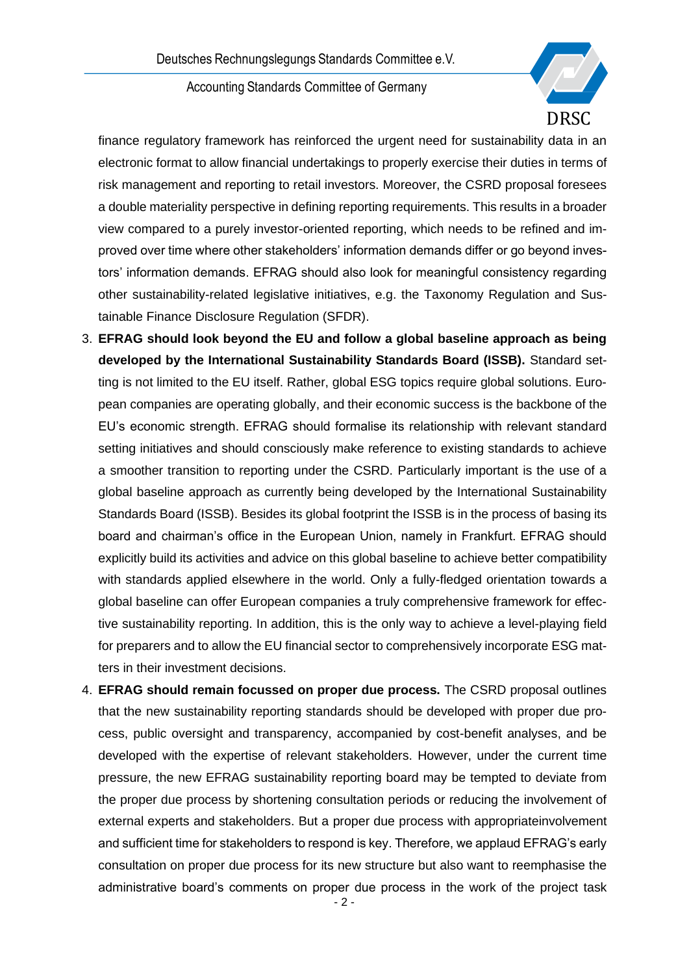Accounting Standards Committee of Germany



finance regulatory framework has reinforced the urgent need for sustainability data in an electronic format to allow financial undertakings to properly exercise their duties in terms of risk management and reporting to retail investors. Moreover, the CSRD proposal foresees a double materiality perspective in defining reporting requirements. This results in a broader view compared to a purely investor-oriented reporting, which needs to be refined and improved over time where other stakeholders' information demands differ or go beyond investors' information demands. EFRAG should also look for meaningful consistency regarding other sustainability-related legislative initiatives, e.g. the Taxonomy Regulation and Sustainable Finance Disclosure Regulation (SFDR).

- 3. **EFRAG should look beyond the EU and follow a global baseline approach as being developed by the International Sustainability Standards Board (ISSB).** Standard setting is not limited to the EU itself. Rather, global ESG topics require global solutions. European companies are operating globally, and their economic success is the backbone of the EU's economic strength. EFRAG should formalise its relationship with relevant standard setting initiatives and should consciously make reference to existing standards to achieve a smoother transition to reporting under the CSRD. Particularly important is the use of a global baseline approach as currently being developed by the International Sustainability Standards Board (ISSB). Besides its global footprint the ISSB is in the process of basing its board and chairman's office in the European Union, namely in Frankfurt. EFRAG should explicitly build its activities and advice on this global baseline to achieve better compatibility with standards applied elsewhere in the world. Only a fully-fledged orientation towards a global baseline can offer European companies a truly comprehensive framework for effective sustainability reporting. In addition, this is the only way to achieve a level-playing field for preparers and to allow the EU financial sector to comprehensively incorporate ESG matters in their investment decisions.
- 4. **EFRAG should remain focussed on proper due process.** The CSRD proposal outlines that the new sustainability reporting standards should be developed with proper due process, public oversight and transparency, accompanied by cost-benefit analyses, and be developed with the expertise of relevant stakeholders. However, under the current time pressure, the new EFRAG sustainability reporting board may be tempted to deviate from the proper due process by shortening consultation periods or reducing the involvement of external experts and stakeholders. But a proper due process with appropriateinvolvement and sufficient time for stakeholders to respond is key. Therefore, we applaud EFRAG's early consultation on proper due process for its new structure but also want to reemphasise the administrative board's comments on proper due process in the work of the project task